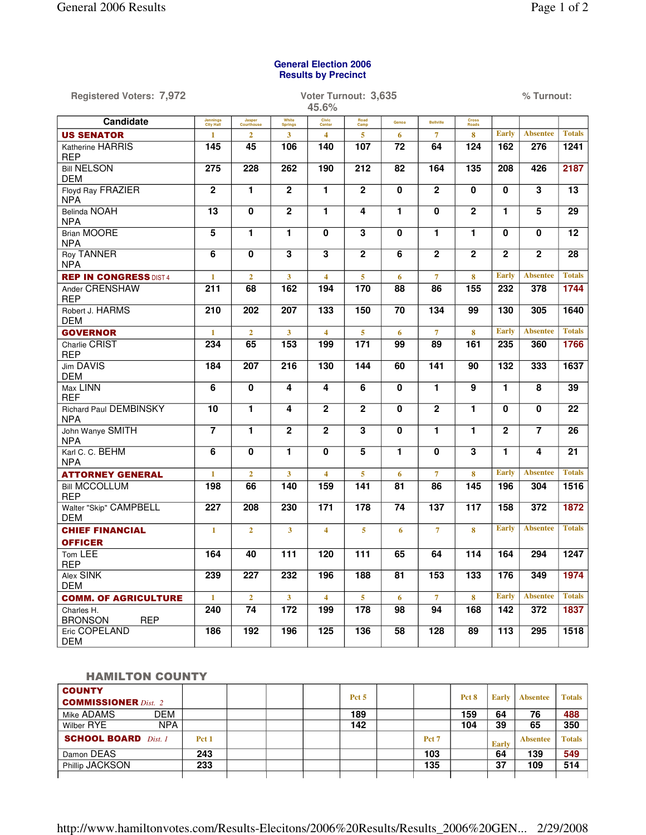## **General Election 2006 Results by Precinct**

| <b>Registered Voters: 7,972</b>             | Voter Turnout: 3,635<br>45.6% |                      |                         |                         |                         |                 |                  |                       | % Turnout:       |                         |                 |  |  |
|---------------------------------------------|-------------------------------|----------------------|-------------------------|-------------------------|-------------------------|-----------------|------------------|-----------------------|------------------|-------------------------|-----------------|--|--|
| Candidate                                   | <b>Jennings</b><br>City Hall  | Jasper<br>Courthouse | White<br><b>Springs</b> | Civic<br>Center         | Road<br>Camp            | Genoa           | <b>Bellville</b> | <b>Cross</b><br>Roads |                  |                         |                 |  |  |
| <b>US SENATOR</b>                           | $\mathbf{1}$                  | $\overline{2}$       | 3                       | $\overline{\mathbf{4}}$ | 5                       | 6               | $\overline{7}$   | 8                     | <b>Early</b>     | <b>Absentee</b>         | <b>Totals</b>   |  |  |
| Katherine HARRIS<br><b>REP</b>              | 145                           | 45                   | 106                     | 140                     | 107                     | 72              | 64               | 124                   | 162              | 276                     | 1241            |  |  |
| <b>Bill NELSON</b><br><b>DEM</b>            | 275                           | 228                  | 262                     | 190                     | 212                     | 82              | 164              | 135                   | $\overline{208}$ | 426                     | 2187            |  |  |
| Floyd Ray FRAZIER<br><b>NPA</b>             | $\overline{2}$                | $\overline{1}$       | $\overline{2}$          | $\overline{1}$          | $\overline{2}$          | $\mathbf 0$     | $\overline{2}$   | $\mathbf{0}$          | $\mathbf 0$      | $\overline{\mathbf{3}}$ | $\overline{13}$ |  |  |
| Belinda NOAH<br><b>NPA</b>                  | $\overline{13}$               | 0                    | $\overline{2}$          | 1                       | 4                       | $\mathbf{1}$    | 0                | $\overline{2}$        | 1                | $\overline{5}$          | $\overline{29}$ |  |  |
| <b>Brian MOORE</b><br><b>NPA</b>            | 5                             | $\mathbf{1}$         | 1                       | $\mathbf{0}$            | 3                       | $\mathbf 0$     | $\mathbf{1}$     | 1                     | $\mathbf 0$      | 0                       | $\overline{12}$ |  |  |
| <b>Roy TANNER</b><br><b>NPA</b>             | $\overline{6}$                | 0                    | $\overline{\mathbf{3}}$ | $\overline{\mathbf{3}}$ | $\mathbf{2}$            | 6               | $\overline{2}$   | $\mathbf{2}$          | $\mathbf 2$      | $\overline{2}$          | 28              |  |  |
| <b>REP IN CONGRESS DIST 4</b>               | $\mathbf{1}$                  | $\overline{2}$       | $\mathbf{3}$            | $\overline{4}$          | 5                       | 6               | $\overline{7}$   | 8                     | <b>Early</b>     | <b>Absentee</b>         | <b>Totals</b>   |  |  |
| Ander CRENSHAW<br><b>REP</b>                | 211                           | 68                   | 162                     | 194                     | 170                     | 88              | 86               | 155                   | 232              | 378                     | 1744            |  |  |
| Robert J. HARMS<br><b>DEM</b>               | 210                           | 202                  | 207                     | 133                     | 150                     | $\overline{70}$ | 134              | 99                    | 130              | 305                     | 1640            |  |  |
| <b>GOVERNOR</b>                             | $\mathbf{1}$                  | $\overline{2}$       | $\mathbf{3}$            | $\overline{4}$          | 5                       | 6               | $\overline{7}$   | 8                     | <b>Early</b>     | <b>Absentee</b>         | <b>Totals</b>   |  |  |
| Charlie CRIST<br><b>REP</b>                 | 234                           | 65                   | 153                     | 199                     | $\overline{171}$        | 99              | 89               | 161                   | 235              | 360                     | 1766            |  |  |
| Jim DAVIS<br><b>DEM</b>                     | 184                           | 207                  | 216                     | 130                     | 144                     | 60              | 141              | 90                    | 132              | 333                     | 1637            |  |  |
| Max LINN<br><b>REF</b>                      | 6                             | 0                    | 4                       | 4                       | $6\phantom{1}$          | $\mathbf 0$     | 1                | $\overline{9}$        | $\mathbf{1}$     | $\overline{\mathbf{8}}$ | $\overline{39}$ |  |  |
| <b>Richard Paul DEMBINSKY</b><br><b>NPA</b> | 10                            | $\overline{1}$       | 4                       | $\overline{2}$          | $\overline{2}$          | $\mathbf 0$     | $\mathbf{2}$     | 1                     | $\mathbf 0$      | 0                       | 22              |  |  |
| John Wanye SMITH<br><b>NPA</b>              |                               | $\blacksquare$       | $\overline{2}$          | $\overline{2}$          | $\overline{\mathbf{3}}$ | $\mathbf 0$     | 1                | 1                     | $\mathbf{2}$     |                         | 26              |  |  |
| Karl C. C. BEHM<br><b>NPA</b>               | 6                             | 0                    | 1                       | $\mathbf{0}$            | 5                       | $\mathbf{1}$    | $\mathbf{0}$     | 3                     | $\mathbf{1}$     | 4                       | $\overline{21}$ |  |  |
| <b>ATTORNEY GENERAL</b>                     | $\mathbf{1}$                  | $\overline{2}$       | 3 <sup>1</sup>          | $\overline{\mathbf{4}}$ | 5                       | 6               | $\overline{7}$   | 8                     | <b>Early</b>     | <b>Absentee</b>         | <b>Totals</b>   |  |  |
| <b>Bill MCCOLLUM</b><br><b>REP</b>          | 198                           | 66                   | 140                     | 159                     | 141                     | 81              | 86               | 145                   | 196              | 304                     | 1516            |  |  |
| Walter "Skip" CAMPBELL<br><b>DEM</b>        | $\overline{227}$              | 208                  | 230                     | $\overline{171}$        | 178                     | 74              | 137              | 117                   | 158              | 372                     | 1872            |  |  |
| <b>CHIEF FINANCIAL</b>                      | $\mathbf{1}$                  | $\overline{2}$       | $\mathbf{3}$            | $\overline{4}$          | 5 <sup>1</sup>          | 6               | $\overline{7}$   | 8                     | <b>Early</b>     | <b>Absentee</b>         | <b>Totals</b>   |  |  |
| <b>OFFICER</b>                              |                               |                      |                         |                         |                         |                 |                  |                       |                  |                         |                 |  |  |
| Tom LEE<br>RFH                              | 164                           | 40                   | 111                     | 120                     | 111                     | 65              | 64               | 114                   | 164              | 294                     | 1247            |  |  |
| Alex SINK<br><b>DEM</b>                     | 239                           | 227                  | 232                     | 196                     | 188                     | 81              | 153              | 133                   | 176              | 349                     | 1974            |  |  |
| <b>COMM. OF AGRICULTURE</b>                 | $\mathbf{1}$                  | $\overline{2}$       | $\mathbf{3}$            | $\overline{\mathbf{4}}$ | 5 <sup>1</sup>          | 6               | $\overline{7}$   | $\bf{8}$              | <b>Early</b>     | <b>Absentee</b>         | <b>Totals</b>   |  |  |
| Charles H.<br><b>BRONSON</b><br><b>REP</b>  | 240                           | 74                   | 172                     | 199                     | 178                     | 98              | 94               | 168                   | 142              | 372                     | 1837            |  |  |
| Eric COPELAND<br><b>DEM</b>                 | 186                           | 192                  | 196                     | 125                     | 136                     | 58              | 128              | 89                    | $113$            | 295                     | 1518            |  |  |

## HAMILTON COUNTY

| <b>COUNTY</b>                  |                  |  | Pct <sub>5</sub> |                  | Pct 8 | <b>Early</b> | Absentee        | <b>Totals</b> |
|--------------------------------|------------------|--|------------------|------------------|-------|--------------|-----------------|---------------|
| <b>COMMISSIONER</b> Dist. 2    |                  |  |                  |                  |       |              |                 |               |
| DEM<br>Mike ADAMS              |                  |  | 189              |                  | 159   | 64           | 76              | 488           |
| <b>NPA</b><br>Wilber RYE       |                  |  | 142              |                  | 104   | 39           | 65              | 350           |
| <b>SCHOOL BOARD</b><br>Dist. 1 | Pct <sub>1</sub> |  |                  | Pct <sub>7</sub> |       | <b>Early</b> | <b>Absentee</b> | <b>Totals</b> |
| Damon DEAS                     | 243              |  |                  | 103              |       | 64           | 139             | 549           |
| Phillip JACKSON                | 233              |  |                  | 135              |       | 37           | 109             | 514           |
|                                |                  |  |                  |                  |       |              |                 |               |

http://www.hamiltonvotes.com/Results-Elecitons/2006%20Results/Results\_2006%20GEN... 2/29/2008